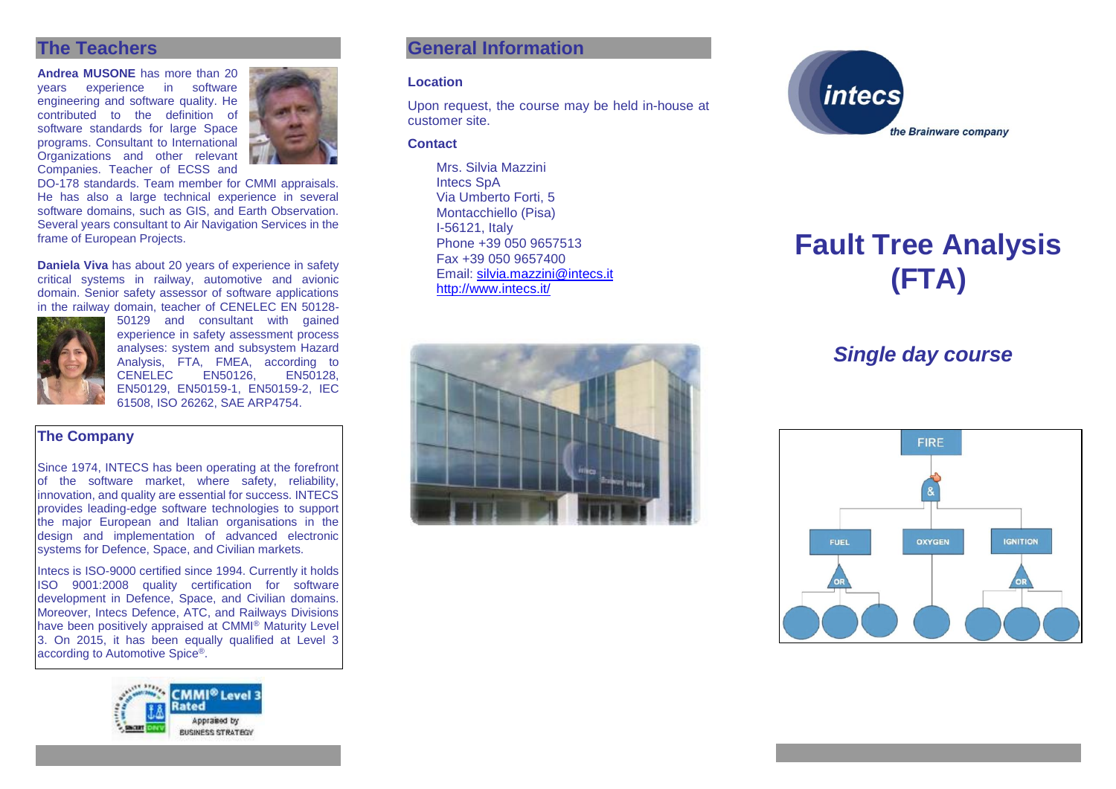# **The Teachers**

**Andrea MUSONE** has more than 20 vears experience in engineering and software quality. He contributed to the definition of software standards for large Space programs. Consultant to International Organizations and other relevant Companies. Teacher of ECSS and

DO-178 standards. Team member for CMMI appraisals. He has also a large technical experience in several software domains, such as GIS, and Earth Observation. Several years consultant to Air Navigation Services in the frame of European Projects.

**Daniela Viva** has about 20 years of experience in safety critical systems in railway, automotive and avionic domain. Senior safety assessor of software applications in the railway domain, teacher of CENELEC EN 50128-



50129 and consultant with gained experience in safety assessment process analyses: system and subsystem Hazard Analysis, FTA, FMEA, according to<br>CENELEC EN50126. EN50128. CENELEC<sup>1</sup> EN50129, EN50159-1, EN50159-2, IEC 61508, ISO 26262, SAE ARP4754.

#### **The Company**

Since 1974, INTECS has been operating at the forefront of the software market, where safety, reliability, innovation, and quality are essential for success. INTECS provides leading-edge software technologies to support the major European and Italian organisations in the design and implementation of advanced electronic systems for Defence, Space, and Civilian markets.

Intecs is ISO-9000 certified since 1994. Currently it holds ISO 9001:2008 quality certification for software development in Defence, Space, and Civilian domains. Moreover, Intecs Defence, ATC, and Railways Divisions have been positively appraised at CMMI® Maturity Level 3. On 2015, it has been equally qualified at Level 3 according to Automotive Spice®.



# **General Information**

#### **Location**

Upon request, the course may be held in-house at customer site.

#### **Contact**

Mrs. Silvia Mazzini Intecs SpA Via Umberto Forti, 5 Montacchiello (Pisa) I-56121, Italy Phone +39 050 9657513 Fax +39 050 9657400 Email: [silvia.mazzini@intecs.it](mailto:andrea.musone@intecs.it) <http://www.intecs.it/>





# **Fault Tree Analysis (FTA)**

# *Single day course*